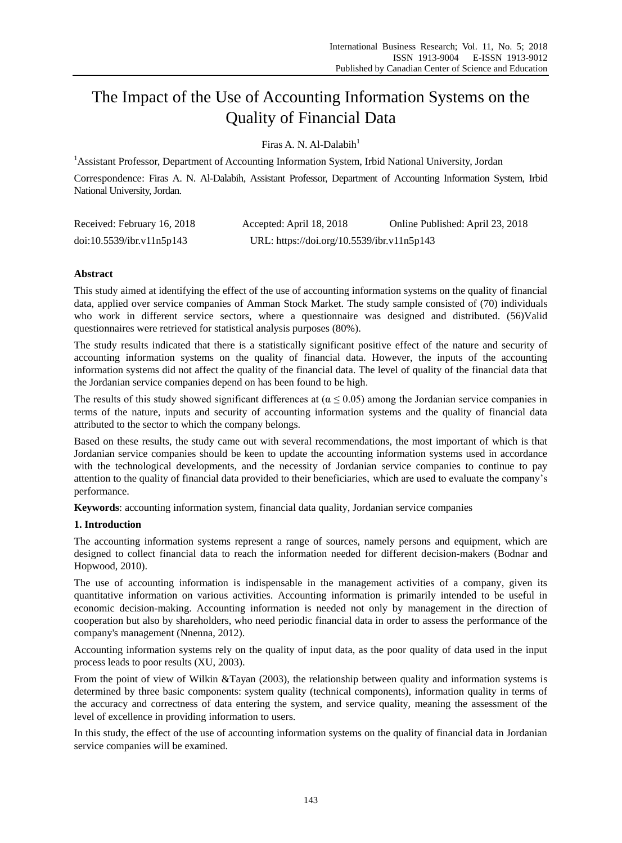# The Impact of the Use of Accounting Information Systems on the Quality of Financial Data

Firas A. N. Al-Dalabih $<sup>1</sup>$ </sup>

<sup>1</sup>Assistant Professor, Department of Accounting Information System, Irbid National University, Jordan

Correspondence: Firas A. N. Al-Dalabih, Assistant Professor, Department of Accounting Information System, Irbid National University, Jordan.

| Received: February 16, 2018 | Accepted: April 18, 2018                   | Online Published: April 23, 2018 |
|-----------------------------|--------------------------------------------|----------------------------------|
| doi:10.5539/ibr.v11n5p143   | URL: https://doi.org/10.5539/ibr.v11n5p143 |                                  |

# **Abstract**

This study aimed at identifying the effect of the use of accounting information systems on the quality of financial data, applied over service companies of Amman Stock Market. The study sample consisted of (70) individuals who work in different service sectors, where a questionnaire was designed and distributed. (56)Valid questionnaires were retrieved for statistical analysis purposes (80%).

The study results indicated that there is a statistically significant positive effect of the nature and security of accounting information systems on the quality of financial data. However, the inputs of the accounting information systems did not affect the quality of the financial data. The level of quality of the financial data that the Jordanian service companies depend on has been found to be high.

The results of this study showed significant differences at ( $\alpha \le 0.05$ ) among the Jordanian service companies in terms of the nature, inputs and security of accounting information systems and the quality of financial data attributed to the sector to which the company belongs.

Based on these results, the study came out with several recommendations, the most important of which is that Jordanian service companies should be keen to update the accounting information systems used in accordance with the technological developments, and the necessity of Jordanian service companies to continue to pay attention to the quality of financial data provided to their beneficiaries, which are used to evaluate the company's performance.

**Keywords**: accounting information system, financial data quality, Jordanian service companies

# **1. Introduction**

The accounting information systems represent a range of sources, namely persons and equipment, which are designed to collect financial data to reach the information needed for different decision-makers (Bodnar and Hopwood, 2010).

The use of accounting information is indispensable in the management activities of a company, given its quantitative information on various activities. Accounting information is primarily intended to be useful in economic decision-making. Accounting information is needed not only by management in the direction of cooperation but also by shareholders, who need periodic financial data in order to assess the performance of the company's management (Nnenna, 2012).

Accounting information systems rely on the quality of input data, as the poor quality of data used in the input process leads to poor results (XU, 2003).

From the point of view of Wilkin &Tayan (2003), the relationship between quality and information systems is determined by three basic components: system quality (technical components), information quality in terms of the accuracy and correctness of data entering the system, and service quality, meaning the assessment of the level of excellence in providing information to users.

In this study, the effect of the use of accounting information systems on the quality of financial data in Jordanian service companies will be examined.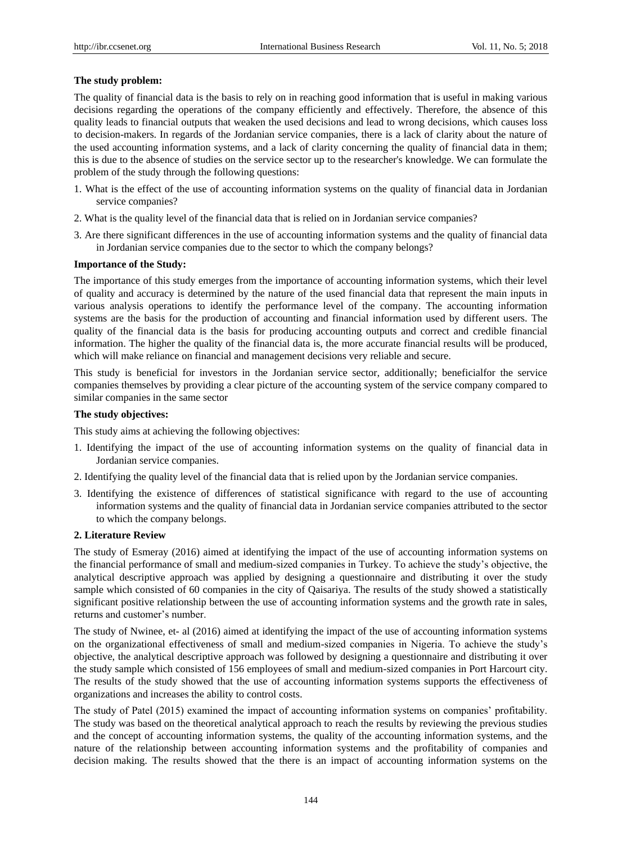## **The study problem:**

The quality of financial data is the basis to rely on in reaching good information that is useful in making various decisions regarding the operations of the company efficiently and effectively. Therefore, the absence of this quality leads to financial outputs that weaken the used decisions and lead to wrong decisions, which causes loss to decision-makers. In regards of the Jordanian service companies, there is a lack of clarity about the nature of the used accounting information systems, and a lack of clarity concerning the quality of financial data in them; this is due to the absence of studies on the service sector up to the researcher's knowledge. We can formulate the problem of the study through the following questions:

- 1. What is the effect of the use of accounting information systems on the quality of financial data in Jordanian service companies?
- 2. What is the quality level of the financial data that is relied on in Jordanian service companies?
- 3. Are there significant differences in the use of accounting information systems and the quality of financial data in Jordanian service companies due to the sector to which the company belongs?

#### **Importance of the Study:**

The importance of this study emerges from the importance of accounting information systems, which their level of quality and accuracy is determined by the nature of the used financial data that represent the main inputs in various analysis operations to identify the performance level of the company. The accounting information systems are the basis for the production of accounting and financial information used by different users. The quality of the financial data is the basis for producing accounting outputs and correct and credible financial information. The higher the quality of the financial data is, the more accurate financial results will be produced, which will make reliance on financial and management decisions very reliable and secure.

This study is beneficial for investors in the Jordanian service sector, additionally; beneficialfor the service companies themselves by providing a clear picture of the accounting system of the service company compared to similar companies in the same sector

## **The study objectives:**

This study aims at achieving the following objectives:

- 1. Identifying the impact of the use of accounting information systems on the quality of financial data in Jordanian service companies.
- 2. Identifying the quality level of the financial data that is relied upon by the Jordanian service companies.
- 3. Identifying the existence of differences of statistical significance with regard to the use of accounting information systems and the quality of financial data in Jordanian service companies attributed to the sector to which the company belongs.

## **2. Literature Review**

The study of Esmeray (2016) aimed at identifying the impact of the use of accounting information systems on the financial performance of small and medium-sized companies in Turkey. To achieve the study's objective, the analytical descriptive approach was applied by designing a questionnaire and distributing it over the study sample which consisted of 60 companies in the city of Qaisariya. The results of the study showed a statistically significant positive relationship between the use of accounting information systems and the growth rate in sales, returns and customer's number.

The study of Nwinee, et- al (2016) aimed at identifying the impact of the use of accounting information systems on the organizational effectiveness of small and medium-sized companies in Nigeria. To achieve the study's objective, the analytical descriptive approach was followed by designing a questionnaire and distributing it over the study sample which consisted of 156 employees of small and medium-sized companies in Port Harcourt city. The results of the study showed that the use of accounting information systems supports the effectiveness of organizations and increases the ability to control costs.

The study of Patel (2015) examined the impact of accounting information systems on companies' profitability. The study was based on the theoretical analytical approach to reach the results by reviewing the previous studies and the concept of accounting information systems, the quality of the accounting information systems, and the nature of the relationship between accounting information systems and the profitability of companies and decision making. The results showed that the there is an impact of accounting information systems on the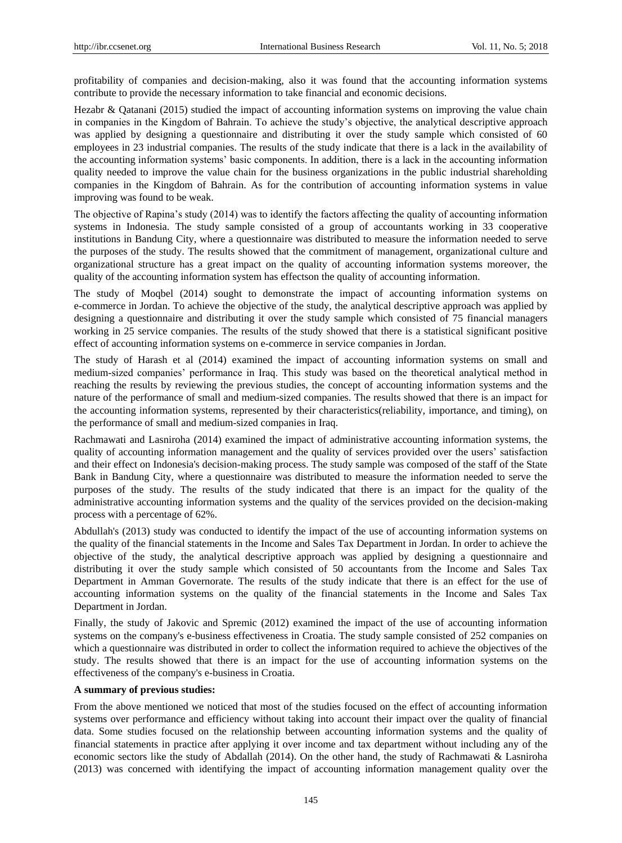profitability of companies and decision-making, also it was found that the accounting information systems contribute to provide the necessary information to take financial and economic decisions.

Hezabr & Qatanani (2015) studied the impact of accounting information systems on improving the value chain in companies in the Kingdom of Bahrain. To achieve the study's objective, the analytical descriptive approach was applied by designing a questionnaire and distributing it over the study sample which consisted of 60 employees in 23 industrial companies. The results of the study indicate that there is a lack in the availability of the accounting information systems' basic components. In addition, there is a lack in the accounting information quality needed to improve the value chain for the business organizations in the public industrial shareholding companies in the Kingdom of Bahrain. As for the contribution of accounting information systems in value improving was found to be weak.

The objective of Rapina's study (2014) was to identify the factors affecting the quality of accounting information systems in Indonesia. The study sample consisted of a group of accountants working in 33 cooperative institutions in Bandung City, where a questionnaire was distributed to measure the information needed to serve the purposes of the study. The results showed that the commitment of management, organizational culture and organizational structure has a great impact on the quality of accounting information systems moreover, the quality of the accounting information system has effectson the quality of accounting information.

The study of Moqbel (2014) sought to demonstrate the impact of accounting information systems on e-commerce in Jordan. To achieve the objective of the study, the analytical descriptive approach was applied by designing a questionnaire and distributing it over the study sample which consisted of 75 financial managers working in 25 service companies. The results of the study showed that there is a statistical significant positive effect of accounting information systems on e-commerce in service companies in Jordan.

The study of Harash et al (2014) examined the impact of accounting information systems on small and medium-sized companies' performance in Iraq. This study was based on the theoretical analytical method in reaching the results by reviewing the previous studies, the concept of accounting information systems and the nature of the performance of small and medium-sized companies. The results showed that there is an impact for the accounting information systems, represented by their characteristics(reliability, importance, and timing), on the performance of small and medium-sized companies in Iraq.

Rachmawati and Lasniroha (2014) examined the impact of administrative accounting information systems, the quality of accounting information management and the quality of services provided over the users' satisfaction and their effect on Indonesia's decision-making process. The study sample was composed of the staff of the State Bank in Bandung City, where a questionnaire was distributed to measure the information needed to serve the purposes of the study. The results of the study indicated that there is an impact for the quality of the administrative accounting information systems and the quality of the services provided on the decision-making process with a percentage of 62%.

Abdullah's (2013) study was conducted to identify the impact of the use of accounting information systems on the quality of the financial statements in the Income and Sales Tax Department in Jordan. In order to achieve the objective of the study, the analytical descriptive approach was applied by designing a questionnaire and distributing it over the study sample which consisted of 50 accountants from the Income and Sales Tax Department in Amman Governorate. The results of the study indicate that there is an effect for the use of accounting information systems on the quality of the financial statements in the Income and Sales Tax Department in Jordan.

Finally, the study of Jakovic and Spremic (2012) examined the impact of the use of accounting information systems on the company's e-business effectiveness in Croatia. The study sample consisted of 252 companies on which a questionnaire was distributed in order to collect the information required to achieve the objectives of the study. The results showed that there is an impact for the use of accounting information systems on the effectiveness of the company's e-business in Croatia.

## **A summary of previous studies:**

From the above mentioned we noticed that most of the studies focused on the effect of accounting information systems over performance and efficiency without taking into account their impact over the quality of financial data. Some studies focused on the relationship between accounting information systems and the quality of financial statements in practice after applying it over income and tax department without including any of the economic sectors like the study of Abdallah (2014). On the other hand, the study of Rachmawati & Lasniroha (2013) was concerned with identifying the impact of accounting information management quality over the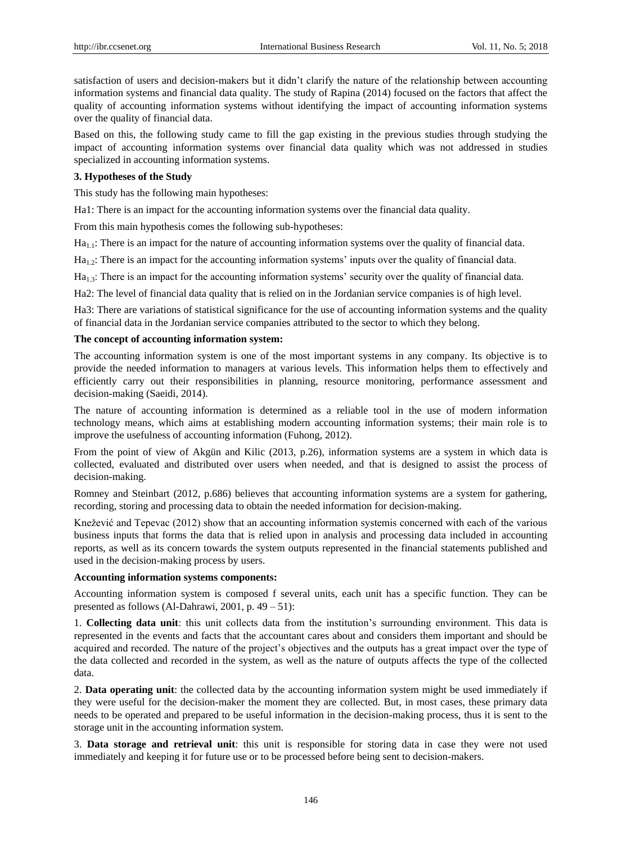satisfaction of users and decision-makers but it didn't clarify the nature of the relationship between accounting information systems and financial data quality. The study of Rapina (2014) focused on the factors that affect the quality of accounting information systems without identifying the impact of accounting information systems over the quality of financial data.

Based on this, the following study came to fill the gap existing in the previous studies through studying the impact of accounting information systems over financial data quality which was not addressed in studies specialized in accounting information systems.

## **3. Hypotheses of the Study**

This study has the following main hypotheses:

Ha1: There is an impact for the accounting information systems over the financial data quality.

From this main hypothesis comes the following sub-hypotheses:

 $Ha_{1,1}$ : There is an impact for the nature of accounting information systems over the quality of financial data.

 $Ha_{1,2}$ : There is an impact for the accounting information systems' inputs over the quality of financial data.

 $Ha_{1,3}$ : There is an impact for the accounting information systems' security over the quality of financial data.

Ha2: The level of financial data quality that is relied on in the Jordanian service companies is of high level.

Ha3: There are variations of statistical significance for the use of accounting information systems and the quality of financial data in the Jordanian service companies attributed to the sector to which they belong.

#### **The concept of accounting information system:**

The accounting information system is one of the most important systems in any company. Its objective is to provide the needed information to managers at various levels. This information helps them to effectively and efficiently carry out their responsibilities in planning, resource monitoring, performance assessment and decision-making (Saeidi, 2014).

The nature of accounting information is determined as a reliable tool in the use of modern information technology means, which aims at establishing modern accounting information systems; their main role is to improve the usefulness of accounting information (Fuhong, 2012).

From the point of view of Akgün and Kilic (2013, p.26), information systems are a system in which data is collected, evaluated and distributed over users when needed, and that is designed to assist the process of decision-making.

Romney and Steinbart (2012, p.686) believes that accounting information systems are a system for gathering, recording, storing and processing data to obtain the needed information for decision-making.

Knežević and Tepevac (2012) show that an accounting information systemis concerned with each of the various business inputs that forms the data that is relied upon in analysis and processing data included in accounting reports, as well as its concern towards the system outputs represented in the financial statements published and used in the decision-making process by users.

## **Accounting information systems components:**

Accounting information system is composed f several units, each unit has a specific function. They can be presented as follows (Al-Dahrawi, 2001, p.  $49 - 51$ ):

1. **Collecting data unit**: this unit collects data from the institution's surrounding environment. This data is represented in the events and facts that the accountant cares about and considers them important and should be acquired and recorded. The nature of the project's objectives and the outputs has a great impact over the type of the data collected and recorded in the system, as well as the nature of outputs affects the type of the collected data.

2. **Data operating unit**: the collected data by the accounting information system might be used immediately if they were useful for the decision-maker the moment they are collected. But, in most cases, these primary data needs to be operated and prepared to be useful information in the decision-making process, thus it is sent to the storage unit in the accounting information system.

3. **Data storage and retrieval unit**: this unit is responsible for storing data in case they were not used immediately and keeping it for future use or to be processed before being sent to decision-makers.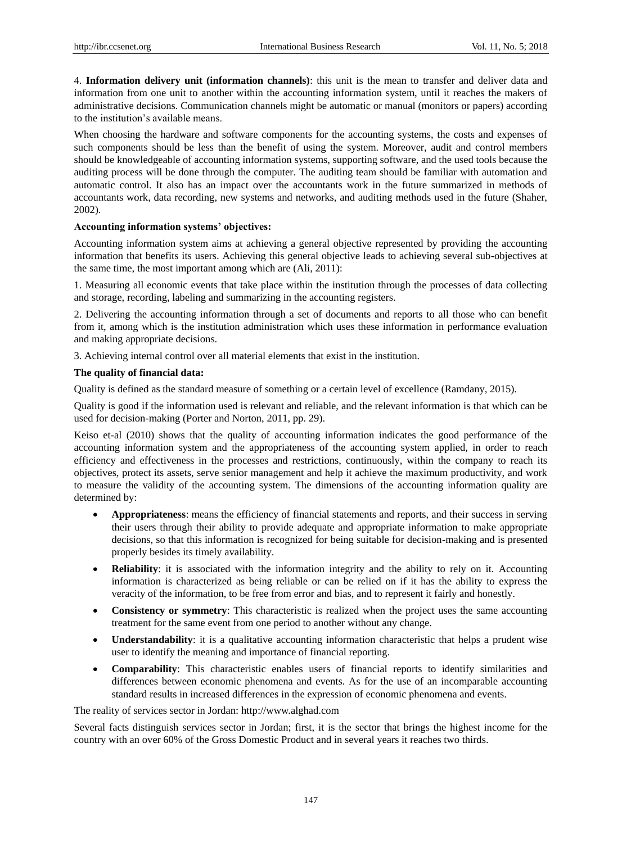4. **Information delivery unit (information channels)**: this unit is the mean to transfer and deliver data and information from one unit to another within the accounting information system, until it reaches the makers of administrative decisions. Communication channels might be automatic or manual (monitors or papers) according to the institution's available means.

When choosing the hardware and software components for the accounting systems, the costs and expenses of such components should be less than the benefit of using the system. Moreover, audit and control members should be knowledgeable of accounting information systems, supporting software, and the used tools because the auditing process will be done through the computer. The auditing team should be familiar with automation and automatic control. It also has an impact over the accountants work in the future summarized in methods of accountants work, data recording, new systems and networks, and auditing methods used in the future (Shaher, 2002).

#### **Accounting information systems' objectives:**

Accounting information system aims at achieving a general objective represented by providing the accounting information that benefits its users. Achieving this general objective leads to achieving several sub-objectives at the same time, the most important among which are (Ali, 2011):

1. Measuring all economic events that take place within the institution through the processes of data collecting and storage, recording, labeling and summarizing in the accounting registers.

2. Delivering the accounting information through a set of documents and reports to all those who can benefit from it, among which is the institution administration which uses these information in performance evaluation and making appropriate decisions.

3. Achieving internal control over all material elements that exist in the institution.

#### **The quality of financial data:**

Quality is defined as the standard measure of something or a certain level of excellence (Ramdany, 2015).

Quality is good if the information used is relevant and reliable, and the relevant information is that which can be used for decision-making (Porter and Norton, 2011, pp. 29).

Keiso et-al (2010) shows that the quality of accounting information indicates the good performance of the accounting information system and the appropriateness of the accounting system applied, in order to reach efficiency and effectiveness in the processes and restrictions, continuously, within the company to reach its objectives, protect its assets, serve senior management and help it achieve the maximum productivity, and work to measure the validity of the accounting system. The dimensions of the accounting information quality are determined by:

- **Appropriateness**: means the efficiency of financial statements and reports, and their success in serving their users through their ability to provide adequate and appropriate information to make appropriate decisions, so that this information is recognized for being suitable for decision-making and is presented properly besides its timely availability.
- **Reliability**: it is associated with the information integrity and the ability to rely on it. Accounting information is characterized as being reliable or can be relied on if it has the ability to express the veracity of the information, to be free from error and bias, and to represent it fairly and honestly.
- **Consistency or symmetry**: This characteristic is realized when the project uses the same accounting treatment for the same event from one period to another without any change.
- **Understandability**: it is a qualitative accounting information characteristic that helps a prudent wise user to identify the meaning and importance of financial reporting.
- **Comparability**: This characteristic enables users of financial reports to identify similarities and differences between economic phenomena and events. As for the use of an incomparable accounting standard results in increased differences in the expression of economic phenomena and events.

The reality of services sector in Jordan: [http://www.alghad.com](http://www.alghad.com/)

Several facts distinguish services sector in Jordan; first, it is the sector that brings the highest income for the country with an over 60% of the Gross Domestic Product and in several years it reaches two thirds.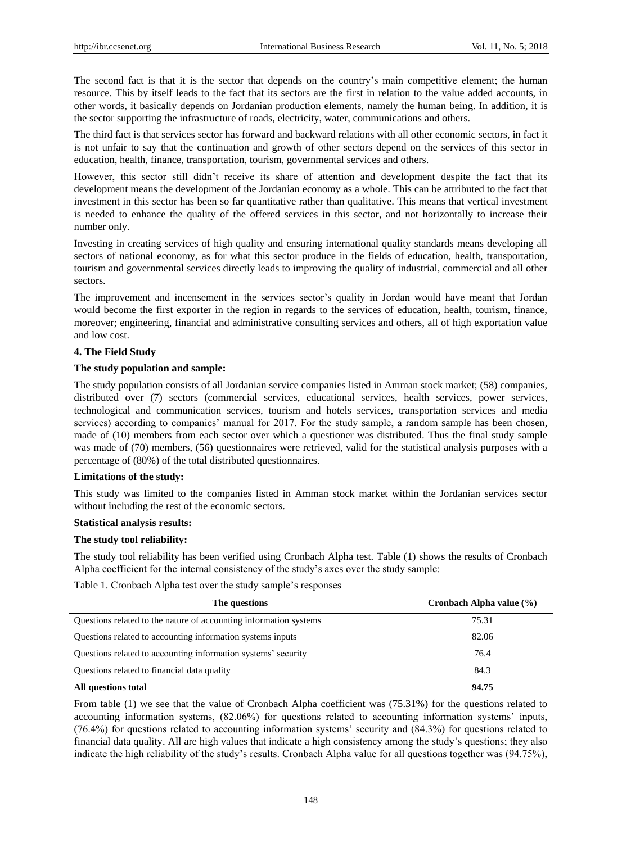The second fact is that it is the sector that depends on the country's main competitive element; the human resource. This by itself leads to the fact that its sectors are the first in relation to the value added accounts, in other words, it basically depends on Jordanian production elements, namely the human being. In addition, it is the sector supporting the infrastructure of roads, electricity, water, communications and others.

The third fact is that services sector has forward and backward relations with all other economic sectors, in fact it is not unfair to say that the continuation and growth of other sectors depend on the services of this sector in education, health, finance, transportation, tourism, governmental services and others.

However, this sector still didn't receive its share of attention and development despite the fact that its development means the development of the Jordanian economy as a whole. This can be attributed to the fact that investment in this sector has been so far quantitative rather than qualitative. This means that vertical investment is needed to enhance the quality of the offered services in this sector, and not horizontally to increase their number only.

Investing in creating services of high quality and ensuring international quality standards means developing all sectors of national economy, as for what this sector produce in the fields of education, health, transportation, tourism and governmental services directly leads to improving the quality of industrial, commercial and all other sectors.

The improvement and incensement in the services sector's quality in Jordan would have meant that Jordan would become the first exporter in the region in regards to the services of education, health, tourism, finance, moreover; engineering, financial and administrative consulting services and others, all of high exportation value and low cost.

## **4. The Field Study**

## **The study population and sample:**

The study population consists of all Jordanian service companies listed in Amman stock market; (58) companies, distributed over (7) sectors (commercial services, educational services, health services, power services, technological and communication services, tourism and hotels services, transportation services and media services) according to companies' manual for 2017. For the study sample, a random sample has been chosen, made of (10) members from each sector over which a questioner was distributed. Thus the final study sample was made of (70) members, (56) questionnaires were retrieved, valid for the statistical analysis purposes with a percentage of (80%) of the total distributed questionnaires.

## **Limitations of the study:**

This study was limited to the companies listed in Amman stock market within the Jordanian services sector without including the rest of the economic sectors.

## **Statistical analysis results:**

#### **The study tool reliability:**

The study tool reliability has been verified using Cronbach Alpha test. Table (1) shows the results of Cronbach Alpha coefficient for the internal consistency of the study's axes over the study sample:

Table 1. Cronbach Alpha test over the study sample's responses

| The questions                                                     | Cronbach Alpha value (%) |
|-------------------------------------------------------------------|--------------------------|
| Questions related to the nature of accounting information systems | 75.31                    |
| Questions related to accounting information systems inputs        | 82.06                    |
| Questions related to accounting information systems' security     | 76.4                     |
| Questions related to financial data quality                       | 84.3                     |
| All questions total                                               | 94.75                    |

From table (1) we see that the value of Cronbach Alpha coefficient was (75.31%) for the questions related to accounting information systems, (82.06%) for questions related to accounting information systems' inputs, (76.4%) for questions related to accounting information systems' security and (84.3%) for questions related to financial data quality. All are high values that indicate a high consistency among the study's questions; they also indicate the high reliability of the study's results. Cronbach Alpha value for all questions together was (94.75%),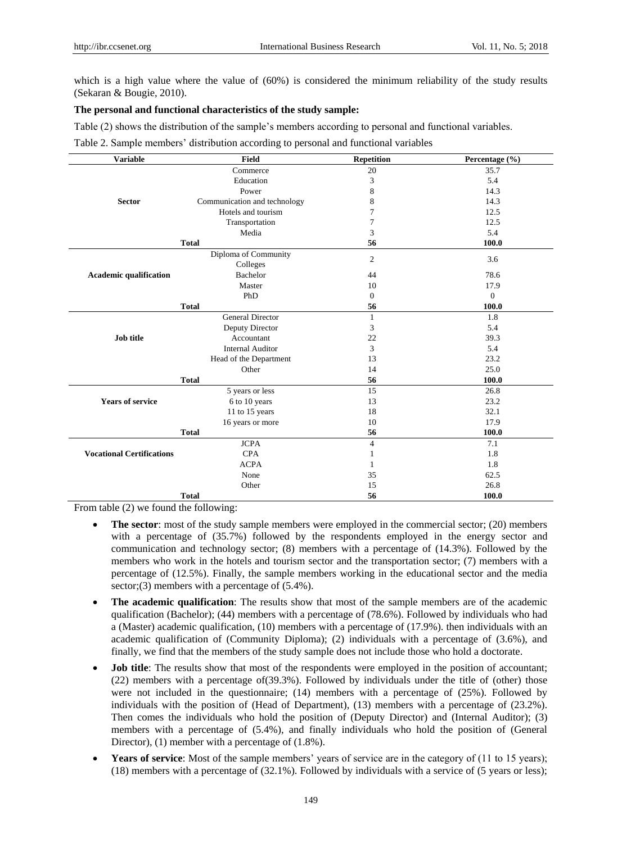which is a high value where the value of  $(60%)$  is considered the minimum reliability of the study results (Sekaran & Bougie, 2010).

## **The personal and functional characteristics of the study sample:**

Table (2) shows the distribution of the sample's members according to personal and functional variables.

Table 2. Sample members' distribution according to personal and functional variables

| <b>Variable</b>                  | <b>Field</b>                 | <b>Repetition</b> | Percentage $(\% )$ |
|----------------------------------|------------------------------|-------------------|--------------------|
|                                  | Commerce                     | 20                | 35.7               |
|                                  | Education                    | 3                 | 5.4                |
|                                  | Power                        | 8                 | 14.3               |
| <b>Sector</b>                    | Communication and technology | 8                 | 14.3               |
|                                  | Hotels and tourism           | 7                 | 12.5               |
|                                  | Transportation               | 7                 | 12.5               |
|                                  | Media                        | 3                 | 5.4                |
|                                  | <b>Total</b>                 | 56                | 100.0              |
|                                  | Diploma of Community         | $\overline{c}$    | 3.6                |
|                                  | Colleges                     |                   |                    |
| <b>Academic qualification</b>    | Bachelor                     | 44                | 78.6               |
|                                  | Master                       | 10                | 17.9               |
|                                  | PhD                          | $\mathbf{0}$      | $\mathbf{0}$       |
|                                  | <b>Total</b>                 | 56                | 100.0              |
|                                  | <b>General Director</b>      | $\mathbf{1}$      | 1.8                |
|                                  | Deputy Director              | 3                 | 5.4                |
| <b>Job title</b>                 | Accountant                   | 22                | 39.3               |
|                                  | <b>Internal Auditor</b>      | 3                 | 5.4                |
|                                  | Head of the Department       | 13                | 23.2               |
|                                  | Other                        | 14                | 25.0               |
|                                  | <b>Total</b>                 | 56                | 100.0              |
|                                  | 5 years or less              | 15                | 26.8               |
| <b>Years of service</b>          | 6 to 10 years                | 13                | 23.2               |
|                                  | 11 to 15 years               | 18                | 32.1               |
|                                  | 16 years or more             | 10                | 17.9               |
|                                  | <b>Total</b>                 | 56                | 100.0              |
|                                  | <b>JCPA</b>                  | $\overline{4}$    | 7.1                |
| <b>Vocational Certifications</b> | <b>CPA</b>                   |                   | 1.8                |
|                                  | <b>ACPA</b>                  |                   | 1.8                |
|                                  | None                         | 35                | 62.5               |
|                                  | Other                        | 15                | 26.8               |
|                                  | <b>Total</b>                 | 56                | 100.0              |

From table (2) we found the following:

- **The sector**: most of the study sample members were employed in the commercial sector; (20) members with a percentage of  $(35.7%)$  followed by the respondents employed in the energy sector and communication and technology sector; (8) members with a percentage of (14.3%). Followed by the members who work in the hotels and tourism sector and the transportation sector; (7) members with a percentage of (12.5%). Finally, the sample members working in the educational sector and the media sector;(3) members with a percentage of (5.4%).
- The academic qualification: The results show that most of the sample members are of the academic qualification (Bachelor); (44) members with a percentage of (78.6%). Followed by individuals who had a (Master) academic qualification, (10) members with a percentage of (17.9%). then individuals with an academic qualification of (Community Diploma); (2) individuals with a percentage of (3.6%), and finally, we find that the members of the study sample does not include those who hold a doctorate.
- **Job title**: The results show that most of the respondents were employed in the position of accountant; (22) members with a percentage of(39.3%). Followed by individuals under the title of (other) those were not included in the questionnaire; (14) members with a percentage of (25%). Followed by individuals with the position of (Head of Department), (13) members with a percentage of (23.2%). Then comes the individuals who hold the position of (Deputy Director) and (Internal Auditor); (3) members with a percentage of (5.4%), and finally individuals who hold the position of (General Director), (1) member with a percentage of  $(1.8\%)$ .
- Years of service: Most of the sample members' years of service are in the category of (11 to 15 years); (18) members with a percentage of (32.1%). Followed by individuals with a service of (5 years or less);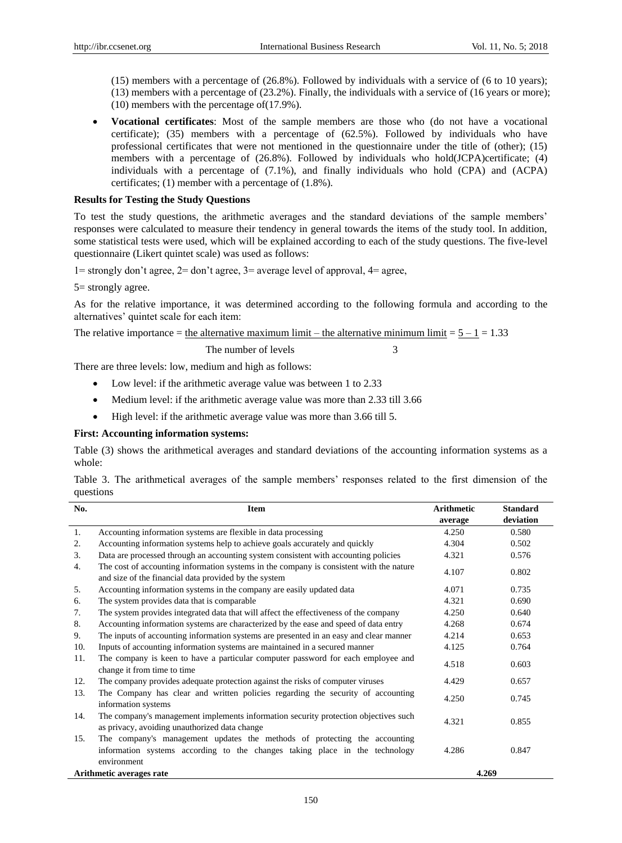(15) members with a percentage of (26.8%). Followed by individuals with a service of (6 to 10 years); (13) members with a percentage of (23.2%). Finally, the individuals with a service of (16 years or more); (10) members with the percentage of(17.9%).

 **Vocational certificates**: Most of the sample members are those who (do not have a vocational certificate); (35) members with a percentage of (62.5%). Followed by individuals who have professional certificates that were not mentioned in the questionnaire under the title of (other); (15) members with a percentage of  $(26.8\%)$ . Followed by individuals who hold(JCPA)certificate; (4) individuals with a percentage of (7.1%), and finally individuals who hold (CPA) and (ACPA) certificates; (1) member with a percentage of (1.8%).

## **Results for Testing the Study Questions**

To test the study questions, the arithmetic averages and the standard deviations of the sample members' responses were calculated to measure their tendency in general towards the items of the study tool. In addition, some statistical tests were used, which will be explained according to each of the study questions. The five-level questionnaire (Likert quintet scale) was used as follows:

1= strongly don't agree, 2= don't agree, 3= average level of approval, 4= agree,

5= strongly agree.

As for the relative importance, it was determined according to the following formula and according to the alternatives' quintet scale for each item:

The relative importance = the alternative maximum limit – the alternative minimum limit =  $5 - 1 = 1.33$ 

The number of levels 3

There are three levels: low, medium and high as follows:

- Low level: if the arithmetic average value was between 1 to 2.33
- Medium level: if the arithmetic average value was more than 2.33 till 3.66
- High level: if the arithmetic average value was more than 3.66 till 5.

## **First: Accounting information systems:**

Table (3) shows the arithmetical averages and standard deviations of the accounting information systems as a whole:

Table 3. The arithmetical averages of the sample members' responses related to the first dimension of the questions

| No. | <b>Item</b>                                                                                                                                              | <b>Arithmetic</b> | <b>Standard</b> |
|-----|----------------------------------------------------------------------------------------------------------------------------------------------------------|-------------------|-----------------|
|     |                                                                                                                                                          | average           | deviation       |
| 1.  | Accounting information systems are flexible in data processing                                                                                           | 4.250             | 0.580           |
| 2.  | Accounting information systems help to achieve goals accurately and quickly                                                                              | 4.304             | 0.502           |
| 3.  | Data are processed through an accounting system consistent with accounting policies                                                                      | 4.321             | 0.576           |
| 4.  | The cost of accounting information systems in the company is consistent with the nature<br>and size of the financial data provided by the system         | 4.107             | 0.802           |
| 5.  | Accounting information systems in the company are easily updated data                                                                                    | 4.071             | 0.735           |
| 6.  | The system provides data that is comparable                                                                                                              | 4.321             | 0.690           |
| 7.  | The system provides integrated data that will affect the effectiveness of the company                                                                    | 4.250             | 0.640           |
| 8.  | Accounting information systems are characterized by the ease and speed of data entry                                                                     | 4.268             | 0.674           |
| 9.  | The inputs of accounting information systems are presented in an easy and clear manner                                                                   | 4.214             | 0.653           |
| 10. | Inputs of accounting information systems are maintained in a secured manner                                                                              | 4.125             | 0.764           |
| 11. | The company is keen to have a particular computer password for each employee and<br>change it from time to time                                          | 4.518             | 0.603           |
| 12. | The company provides adequate protection against the risks of computer viruses                                                                           | 4.429             | 0.657           |
| 13. | The Company has clear and written policies regarding the security of accounting<br>information systems                                                   | 4.250             | 0.745           |
| 14. | The company's management implements information security protection objectives such<br>as privacy, avoiding unauthorized data change                     | 4.321             | 0.855           |
| 15. | The company's management updates the methods of protecting the accounting<br>information systems according to the changes taking place in the technology | 4.286             | 0.847           |
|     | environment                                                                                                                                              | 4.269             |                 |
|     | Arithmetic averages rate                                                                                                                                 |                   |                 |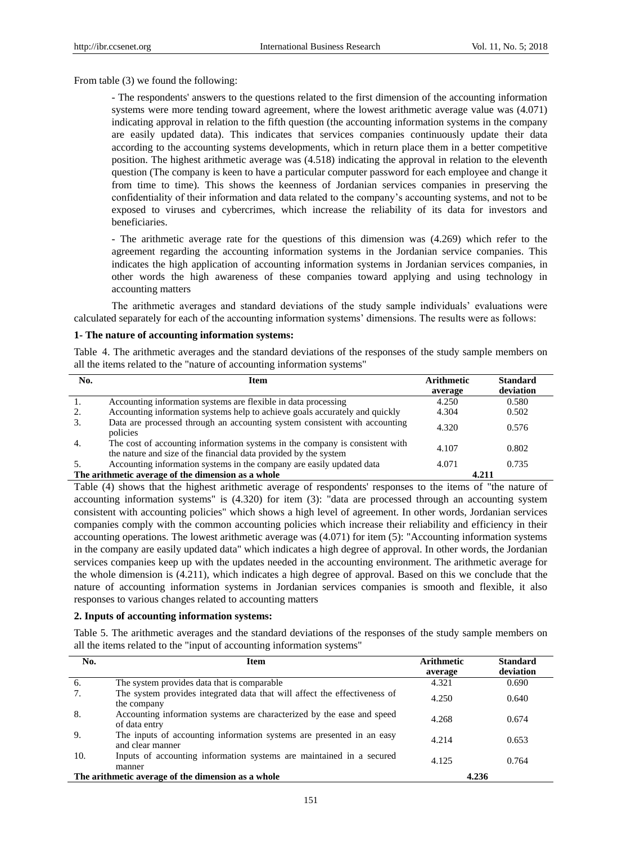From table (3) we found the following:

- The respondents' answers to the questions related to the first dimension of the accounting information systems were more tending toward agreement, where the lowest arithmetic average value was (4.071) indicating approval in relation to the fifth question (the accounting information systems in the company are easily updated data). This indicates that services companies continuously update their data according to the accounting systems developments, which in return place them in a better competitive position. The highest arithmetic average was (4.518) indicating the approval in relation to the eleventh question (The company is keen to have a particular computer password for each employee and change it from time to time). This shows the keenness of Jordanian services companies in preserving the confidentiality of their information and data related to the company's accounting systems, and not to be exposed to viruses and cybercrimes, which increase the reliability of its data for investors and beneficiaries.

- The arithmetic average rate for the questions of this dimension was (4.269) which refer to the agreement regarding the accounting information systems in the Jordanian service companies. This indicates the high application of accounting information systems in Jordanian services companies, in other words the high awareness of these companies toward applying and using technology in accounting matters

The arithmetic averages and standard deviations of the study sample individuals' evaluations were calculated separately for each of the accounting information systems' dimensions. The results were as follows:

#### **1- The nature of accounting information systems:**

Table 4. The arithmetic averages and the standard deviations of the responses of the study sample members on all the items related to the "nature of accounting information systems"

| No. | <b>Item</b>                                                                                                                                      | <b>Arithmetic</b> | <b>Standard</b> |
|-----|--------------------------------------------------------------------------------------------------------------------------------------------------|-------------------|-----------------|
|     |                                                                                                                                                  | average           | deviation       |
|     | Accounting information systems are flexible in data processing                                                                                   | 4.250             | 0.580           |
| 2.  | Accounting information systems help to achieve goals accurately and quickly                                                                      | 4.304             | 0.502           |
| 3.  | Data are processed through an accounting system consistent with accounting<br>policies                                                           | 4.320             | 0.576           |
| 4.  | The cost of accounting information systems in the company is consistent with<br>the nature and size of the financial data provided by the system | 4.107             | 0.802           |
|     | Accounting information systems in the company are easily updated data                                                                            | 4.071             | 0.735           |
|     | The arithmetic average of the dimension as a whole                                                                                               | 4.211             |                 |

Table (4) shows that the highest arithmetic average of respondents' responses to the items of "the nature of accounting information systems" is (4.320) for item (3): "data are processed through an accounting system consistent with accounting policies" which shows a high level of agreement. In other words, Jordanian services companies comply with the common accounting policies which increase their reliability and efficiency in their accounting operations. The lowest arithmetic average was (4.071) for item (5): "Accounting information systems in the company are easily updated data" which indicates a high degree of approval. In other words, the Jordanian services companies keep up with the updates needed in the accounting environment. The arithmetic average for the whole dimension is (4.211), which indicates a high degree of approval. Based on this we conclude that the nature of accounting information systems in Jordanian services companies is smooth and flexible, it also responses to various changes related to accounting matters

## **2. Inputs of accounting information systems:**

Table 5. The arithmetic averages and the standard deviations of the responses of the study sample members on all the items related to the "input of accounting information systems"

| No. | <b>Item</b>                                                                               | <b>Arithmetic</b> | <b>Standard</b> |
|-----|-------------------------------------------------------------------------------------------|-------------------|-----------------|
|     |                                                                                           | average           | deviation       |
| 6.  | The system provides data that is comparable.                                              | 4.321             | 0.690           |
|     | The system provides integrated data that will affect the effectiveness of<br>the company  | 4.250             | 0.640           |
| 8.  | Accounting information systems are characterized by the ease and speed<br>of data entry   | 4.268             | 0.674           |
| 9.  | The inputs of accounting information systems are presented in an easy<br>and clear manner | 4.214             | 0.653           |
| 10. | Inputs of accounting information systems are maintained in a secured<br>manner            | 4.125             | 0.764           |
|     | The arithmetic average of the dimension as a whole                                        | 4.236             |                 |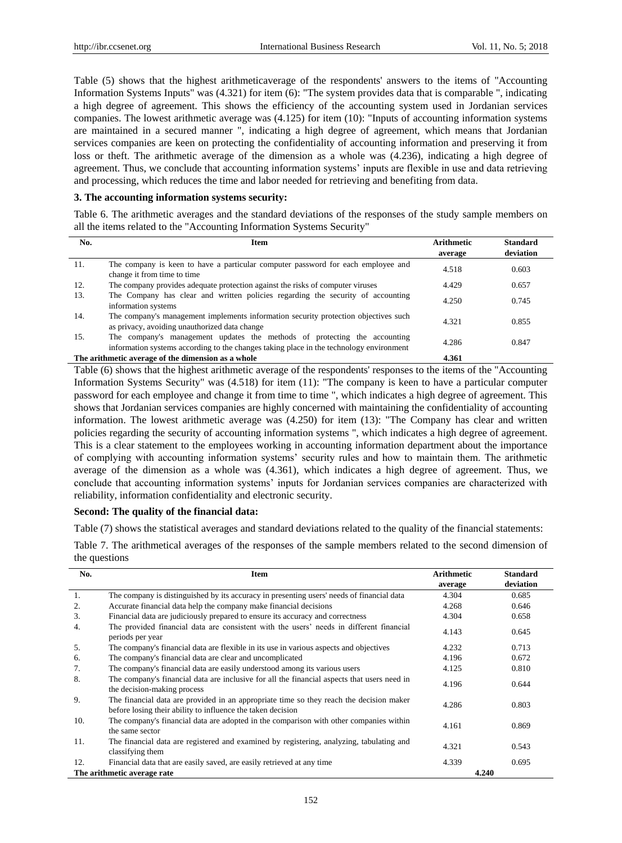Table (5) shows that the highest arithmeticaverage of the respondents' answers to the items of "Accounting Information Systems Inputs" was (4.321) for item (6): "The system provides data that is comparable ", indicating a high degree of agreement. This shows the efficiency of the accounting system used in Jordanian services companies. The lowest arithmetic average was (4.125) for item (10): "Inputs of accounting information systems are maintained in a secured manner ", indicating a high degree of agreement, which means that Jordanian services companies are keen on protecting the confidentiality of accounting information and preserving it from loss or theft. The arithmetic average of the dimension as a whole was (4.236), indicating a high degree of agreement. Thus, we conclude that accounting information systems' inputs are flexible in use and data retrieving and processing, which reduces the time and labor needed for retrieving and benefiting from data.

#### **3. The accounting information systems security:**

Table 6. The arithmetic averages and the standard deviations of the responses of the study sample members on all the items related to the "Accounting Information Systems Security"

| No. | <b>Item</b>                                                                                                                                                          | Arithmetic | <b>Standard</b> |
|-----|----------------------------------------------------------------------------------------------------------------------------------------------------------------------|------------|-----------------|
|     |                                                                                                                                                                      | average    | deviation       |
| 11. | The company is keen to have a particular computer password for each employee and<br>change it from time to time                                                      | 4.518      | 0.603           |
| 12. | The company provides adequate protection against the risks of computer viruses                                                                                       | 4.429      | 0.657           |
| 13. | The Company has clear and written policies regarding the security of accounting<br>information systems                                                               | 4.250      | 0.745           |
| 14. | The company's management implements information security protection objectives such<br>as privacy, avoiding unauthorized data change                                 | 4.321      | 0.855           |
| 15. | The company's management updates the methods of protecting the accounting<br>information systems according to the changes taking place in the technology environment | 4.286      | 0.847           |
|     | The arithmetic average of the dimension as a whole                                                                                                                   | 4.361      |                 |

Table (6) shows that the highest arithmetic average of the respondents' responses to the items of the "Accounting Information Systems Security" was (4.518) for item (11): "The company is keen to have a particular computer password for each employee and change it from time to time ", which indicates a high degree of agreement. This shows that Jordanian services companies are highly concerned with maintaining the confidentiality of accounting information. The lowest arithmetic average was (4.250) for item (13): "The Company has clear and written policies regarding the security of accounting information systems ", which indicates a high degree of agreement. This is a clear statement to the employees working in accounting information department about the importance of complying with accounting information systems' security rules and how to maintain them. The arithmetic average of the dimension as a whole was (4.361), which indicates a high degree of agreement. Thus, we conclude that accounting information systems' inputs for Jordanian services companies are characterized with reliability, information confidentiality and electronic security.

## **Second: The quality of the financial data:**

Table (7) shows the statistical averages and standard deviations related to the quality of the financial statements:

Table 7. The arithmetical averages of the responses of the sample members related to the second dimension of the questions

| No. | <b>Item</b>                                                                                                                                            | <b>Arithmetic</b> | <b>Standard</b> |
|-----|--------------------------------------------------------------------------------------------------------------------------------------------------------|-------------------|-----------------|
|     |                                                                                                                                                        | average           | deviation       |
| 1.  | The company is distinguished by its accuracy in presenting users' needs of financial data                                                              | 4.304             | 0.685           |
| 2.  | Accurate financial data help the company make financial decisions                                                                                      | 4.268             | 0.646           |
| 3.  | Financial data are judiciously prepared to ensure its accuracy and correctness                                                                         | 4.304             | 0.658           |
| 4.  | The provided financial data are consistent with the users' needs in different financial<br>periods per year                                            | 4.143             | 0.645           |
| 5.  | The company's financial data are flexible in its use in various aspects and objectives                                                                 | 4.232             | 0.713           |
| 6.  | The company's financial data are clear and uncomplicated                                                                                               | 4.196             | 0.672           |
| 7.  | The company's financial data are easily understood among its various users                                                                             | 4.125             | 0.810           |
| 8.  | The company's financial data are inclusive for all the financial aspects that users need in<br>the decision-making process                             | 4.196             | 0.644           |
| 9.  | The financial data are provided in an appropriate time so they reach the decision maker<br>before losing their ability to influence the taken decision | 4.286             | 0.803           |
| 10. | The company's financial data are adopted in the comparison with other companies within<br>the same sector                                              | 4.161             | 0.869           |
| 11. | The financial data are registered and examined by registering, analyzing, tabulating and<br>classifying them                                           | 4.321             | 0.543           |
| 12. | Financial data that are easily saved, are easily retrieved at any time                                                                                 | 4.339             | 0.695           |
|     | The arithmetic average rate                                                                                                                            | 4.240             |                 |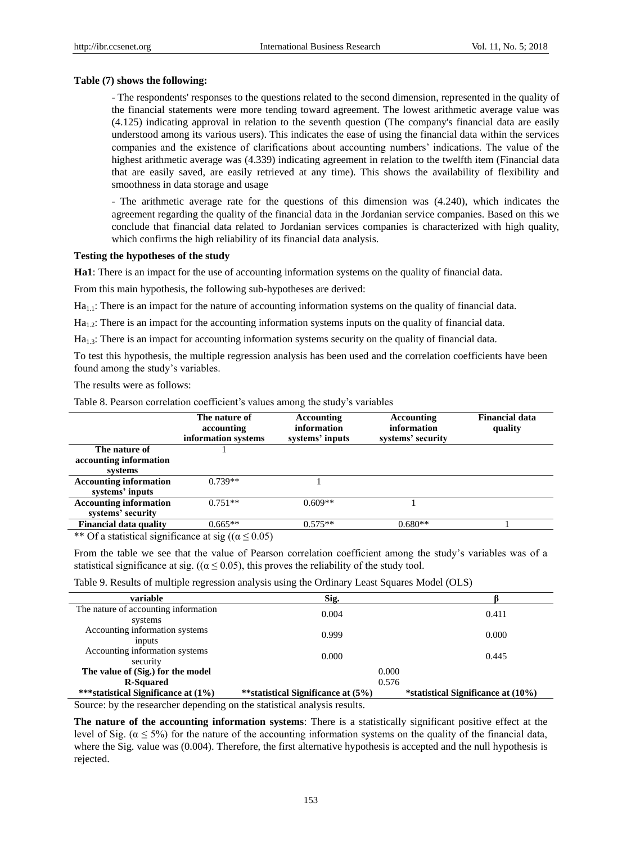## **Table (7) shows the following:**

- The respondents' responses to the questions related to the second dimension, represented in the quality of the financial statements were more tending toward agreement. The lowest arithmetic average value was (4.125) indicating approval in relation to the seventh question (The company's financial data are easily understood among its various users). This indicates the ease of using the financial data within the services companies and the existence of clarifications about accounting numbers' indications. The value of the highest arithmetic average was (4.339) indicating agreement in relation to the twelfth item (Financial data that are easily saved, are easily retrieved at any time). This shows the availability of flexibility and smoothness in data storage and usage

- The arithmetic average rate for the questions of this dimension was (4.240), which indicates the agreement regarding the quality of the financial data in the Jordanian service companies. Based on this we conclude that financial data related to Jordanian services companies is characterized with high quality, which confirms the high reliability of its financial data analysis.

## **Testing the hypotheses of the study**

**Ha1**: There is an impact for the use of accounting information systems on the quality of financial data.

From this main hypothesis, the following sub-hypotheses are derived:

 $\text{Ha}_{1,1}$ : There is an impact for the nature of accounting information systems on the quality of financial data.

 $Ha_{1,2}$ : There is an impact for the accounting information systems inputs on the quality of financial data.

 $Ha_{1,3}$ : There is an impact for accounting information systems security on the quality of financial data.

To test this hypothesis, the multiple regression analysis has been used and the correlation coefficients have been found among the study's variables.

The results were as follows:

Table 8. Pearson correlation coefficient's values among the study's variables

|                                     | The nature of<br>accounting<br>information systems | Accounting<br>information<br>systems' inputs | Accounting<br>information<br>systems' security | <b>Financial data</b><br>quality |
|-------------------------------------|----------------------------------------------------|----------------------------------------------|------------------------------------------------|----------------------------------|
| The nature of                       |                                                    |                                              |                                                |                                  |
| accounting information              |                                                    |                                              |                                                |                                  |
| systems                             |                                                    |                                              |                                                |                                  |
| <b>Accounting information</b>       | $0.739**$                                          |                                              |                                                |                                  |
| systems' inputs                     |                                                    |                                              |                                                |                                  |
| <b>Accounting information</b>       | $0.751**$                                          | $0.609**$                                    |                                                |                                  |
| systems' security                   |                                                    |                                              |                                                |                                  |
| <b>Financial data quality</b>       | $0.665**$                                          | $0.575**$                                    | $0.680**$                                      |                                  |
| $\cdots$ $\alpha$ $\cdots$ $\cdots$ |                                                    |                                              |                                                |                                  |

\*\* Of a statistical significance at sig  $((\alpha \le 0.05))$ 

From the table we see that the value of Pearson correlation coefficient among the study's variables was of a statistical significance at sig. ( $(\alpha \le 0.05)$ , this proves the reliability of the study tool.

Table 9. Results of multiple regression analysis using the Ordinary Least Squares Model (OLS)

| variable                                    | Sig.                               |                                    |
|---------------------------------------------|------------------------------------|------------------------------------|
| The nature of accounting information        | 0.004                              | 0.411                              |
| systems                                     |                                    |                                    |
| Accounting information systems              | 0.999                              | 0.000                              |
| inputs                                      |                                    |                                    |
| Accounting information systems              | 0.000                              | 0.445                              |
| security                                    |                                    |                                    |
| The value of (Sig.) for the model           | 0.000                              |                                    |
| <b>R-Squared</b>                            | 0.576                              |                                    |
| <i>***</i> statistical Significance at (1%) | **statistical Significance at (5%) | *statistical Significance at (10%) |

Source: by the researcher depending on the statistical analysis results.

**The nature of the accounting information systems**: There is a statistically significant positive effect at the level of Sig. ( $α \le 5\%$ ) for the nature of the accounting information systems on the quality of the financial data, where the Sig. value was (0.004). Therefore, the first alternative hypothesis is accepted and the null hypothesis is rejected.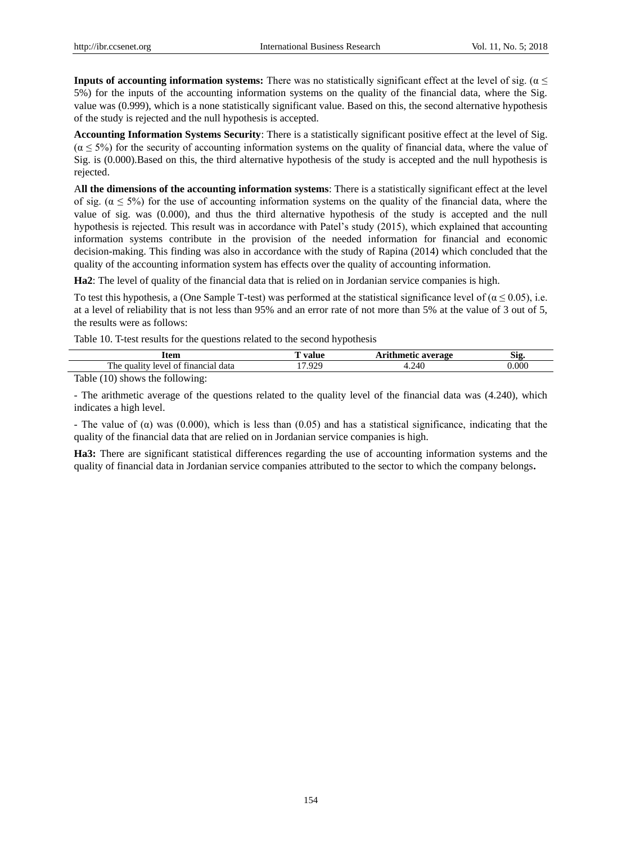**Inputs of accounting information systems:** There was no statistically significant effect at the level of sig. ( $\alpha \leq$ 5%) for the inputs of the accounting information systems on the quality of the financial data, where the Sig. value was (0.999), which is a none statistically significant value. Based on this, the second alternative hypothesis of the study is rejected and the null hypothesis is accepted.

**Accounting Information Systems Security**: There is a statistically significant positive effect at the level of Sig.  $(\alpha \leq 5\%)$  for the security of accounting information systems on the quality of financial data, where the value of Sig. is (0.000).Based on this, the third alternative hypothesis of the study is accepted and the null hypothesis is rejected.

A**ll the dimensions of the accounting information systems**: There is a statistically significant effect at the level of sig. ( $\alpha \le 5\%$ ) for the use of accounting information systems on the quality of the financial data, where the value of sig. was (0.000), and thus the third alternative hypothesis of the study is accepted and the null hypothesis is rejected. This result was in accordance with Patel's study (2015), which explained that accounting information systems contribute in the provision of the needed information for financial and economic decision-making. This finding was also in accordance with the study of Rapina (2014) which concluded that the quality of the accounting information system has effects over the quality of accounting information.

**Ha2**: The level of quality of the financial data that is relied on in Jordanian service companies is high.

To test this hypothesis, a (One Sample T-test) was performed at the statistical significance level of ( $\alpha \le 0.05$ ), i.e. at a level of reliability that is not less than 95% and an error rate of not more than 5% at the value of 3 out of 5, the results were as follows:

Table 10. T-test results for the questions related to the second hypothesis

| Item                                                                  | .        | average<br>$-1$ | 512 |
|-----------------------------------------------------------------------|----------|-----------------|-----|
| $\sim$<br>mı<br>PVI<br>data<br>1 he<br>tinancia.<br>1111<br>ΩŤ<br>лна | റാറ<br>- |                 | 000 |
| $c_{11}$<br><b>m</b> 11<br>$1 \cap$                                   |          |                 |     |

Table (10) shows the following:

- The arithmetic average of the questions related to the quality level of the financial data was (4.240), which indicates a high level.

- The value of ( $\alpha$ ) was (0.000), which is less than (0.05) and has a statistical significance, indicating that the quality of the financial data that are relied on in Jordanian service companies is high.

**Ha3:** There are significant statistical differences regarding the use of accounting information systems and the quality of financial data in Jordanian service companies attributed to the sector to which the company belongs**.**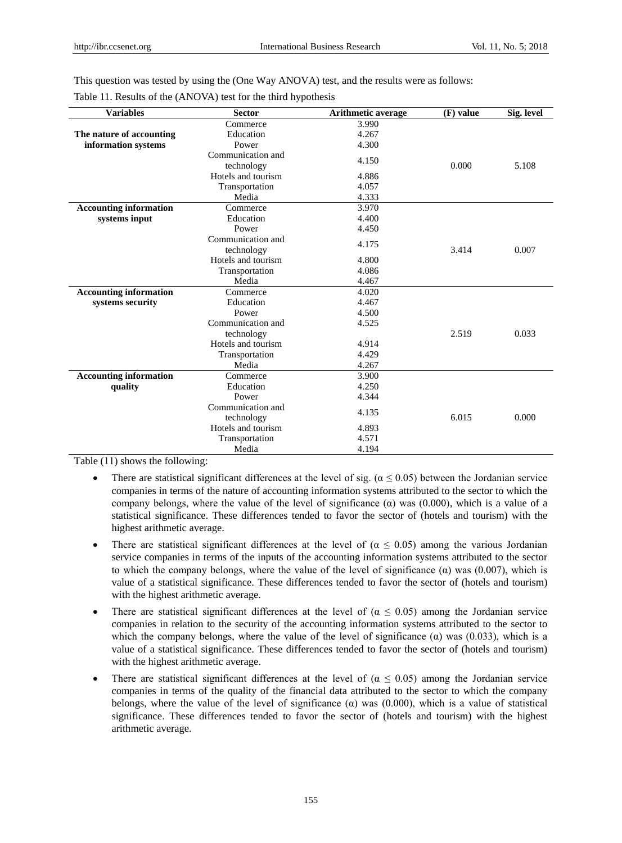This question was tested by using the (One Way ANOVA) test, and the results were as follows:

|  |  |  | Table 11. Results of the (ANOVA) test for the third hypothesis |
|--|--|--|----------------------------------------------------------------|
|--|--|--|----------------------------------------------------------------|

| <b>Variables</b>              | <b>Sector</b>      | <b>Arithmetic average</b> | (F) value | Sig. level |
|-------------------------------|--------------------|---------------------------|-----------|------------|
|                               | Commerce           | 3.990                     |           |            |
| The nature of accounting      | Education          | 4.267                     | 0.000     | 5.108      |
| information systems           | Power              | 4.300                     |           |            |
|                               | Communication and  | 4.150                     |           |            |
|                               | technology         |                           |           |            |
|                               | Hotels and tourism | 4.886                     |           |            |
|                               | Transportation     | 4.057                     |           |            |
|                               | Media              | 4.333                     |           |            |
| <b>Accounting information</b> | Commerce           | 3.970                     | 3.414     | 0.007      |
| systems input                 | Education          | 4.400                     |           |            |
|                               | Power              | 4.450                     |           |            |
|                               | Communication and  | 4.175                     |           |            |
|                               | technology         |                           |           |            |
|                               | Hotels and tourism | 4.800                     |           |            |
|                               | Transportation     | 4.086                     |           |            |
|                               | Media              | 4.467                     |           |            |
| <b>Accounting information</b> | Commerce           | 4.020                     | 2.519     | 0.033      |
| systems security              | Education          | 4.467                     |           |            |
|                               | Power              | 4.500                     |           |            |
|                               | Communication and  | 4.525                     |           |            |
|                               | technology         |                           |           |            |
|                               | Hotels and tourism | 4.914                     |           |            |
|                               | Transportation     | 4.429                     |           |            |
|                               | Media              | 4.267                     |           |            |
| <b>Accounting information</b> | Commerce           | 3.900                     | 6.015     | 0.000      |
| quality                       | Education          | 4.250                     |           |            |
|                               | Power              | 4.344                     |           |            |
|                               | Communication and  | 4.135                     |           |            |
|                               | technology         |                           |           |            |
|                               | Hotels and tourism | 4.893                     |           |            |
|                               | Transportation     | 4.571                     |           |            |
|                               | Media              | 4.194                     |           |            |

Table (11) shows the following:

- There are statistical significant differences at the level of sig. ( $\alpha \le 0.05$ ) between the Jordanian service companies in terms of the nature of accounting information systems attributed to the sector to which the company belongs, where the value of the level of significance  $(\alpha)$  was (0.000), which is a value of a statistical significance. These differences tended to favor the sector of (hotels and tourism) with the highest arithmetic average.
- There are statistical significant differences at the level of  $(\alpha \le 0.05)$  among the various Jordanian service companies in terms of the inputs of the accounting information systems attributed to the sector to which the company belongs, where the value of the level of significance  $(\alpha)$  was (0.007), which is value of a statistical significance. These differences tended to favor the sector of (hotels and tourism) with the highest arithmetic average.
- There are statistical significant differences at the level of  $(\alpha \le 0.05)$  among the Jordanian service companies in relation to the security of the accounting information systems attributed to the sector to which the company belongs, where the value of the level of significance  $(\alpha)$  was (0.033), which is a value of a statistical significance. These differences tended to favor the sector of (hotels and tourism) with the highest arithmetic average.
- There are statistical significant differences at the level of ( $\alpha \le 0.05$ ) among the Jordanian service companies in terms of the quality of the financial data attributed to the sector to which the company belongs, where the value of the level of significance  $\alpha$ ) was (0.000), which is a value of statistical significance. These differences tended to favor the sector of (hotels and tourism) with the highest arithmetic average.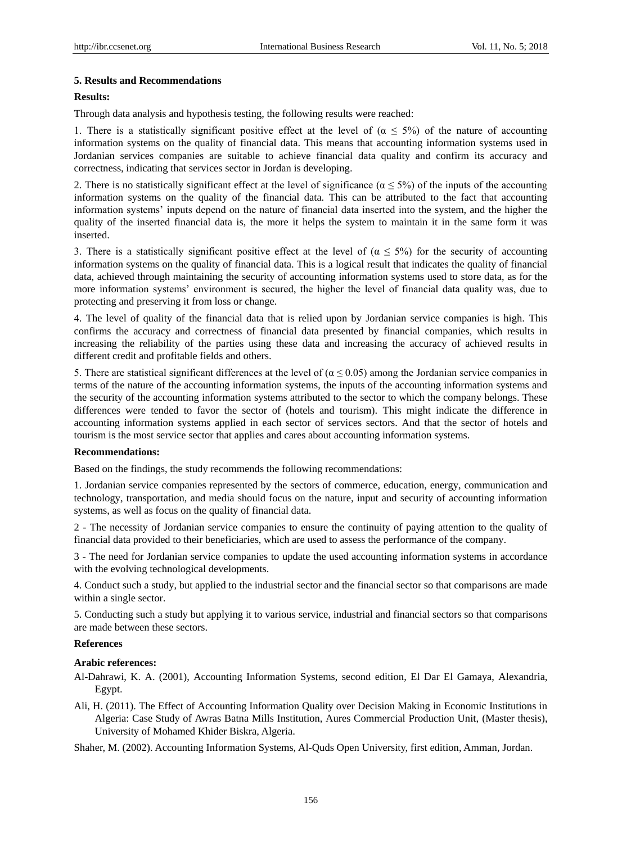## **5. Results and Recommendations**

## **Results:**

Through data analysis and hypothesis testing, the following results were reached:

1. There is a statistically significant positive effect at the level of ( $\alpha \le 5\%$ ) of the nature of accounting information systems on the quality of financial data. This means that accounting information systems used in Jordanian services companies are suitable to achieve financial data quality and confirm its accuracy and correctness, indicating that services sector in Jordan is developing.

2. There is no statistically significant effect at the level of significance ( $\alpha \le 5\%$ ) of the inputs of the accounting information systems on the quality of the financial data. This can be attributed to the fact that accounting information systems' inputs depend on the nature of financial data inserted into the system, and the higher the quality of the inserted financial data is, the more it helps the system to maintain it in the same form it was inserted.

3. There is a statistically significant positive effect at the level of ( $\alpha \leq 5\%$ ) for the security of accounting information systems on the quality of financial data. This is a logical result that indicates the quality of financial data, achieved through maintaining the security of accounting information systems used to store data, as for the more information systems' environment is secured, the higher the level of financial data quality was, due to protecting and preserving it from loss or change.

4. The level of quality of the financial data that is relied upon by Jordanian service companies is high. This confirms the accuracy and correctness of financial data presented by financial companies, which results in increasing the reliability of the parties using these data and increasing the accuracy of achieved results in different credit and profitable fields and others.

5. There are statistical significant differences at the level of ( $\alpha \le 0.05$ ) among the Jordanian service companies in terms of the nature of the accounting information systems, the inputs of the accounting information systems and the security of the accounting information systems attributed to the sector to which the company belongs. These differences were tended to favor the sector of (hotels and tourism). This might indicate the difference in accounting information systems applied in each sector of services sectors. And that the sector of hotels and tourism is the most service sector that applies and cares about accounting information systems.

#### **Recommendations:**

Based on the findings, the study recommends the following recommendations:

1. Jordanian service companies represented by the sectors of commerce, education, energy, communication and technology, transportation, and media should focus on the nature, input and security of accounting information systems, as well as focus on the quality of financial data.

2 - The necessity of Jordanian service companies to ensure the continuity of paying attention to the quality of financial data provided to their beneficiaries, which are used to assess the performance of the company.

3 - The need for Jordanian service companies to update the used accounting information systems in accordance with the evolving technological developments.

4. Conduct such a study, but applied to the industrial sector and the financial sector so that comparisons are made within a single sector.

5. Conducting such a study but applying it to various service, industrial and financial sectors so that comparisons are made between these sectors.

## **References**

#### **Arabic references:**

Al-Dahrawi, K. A. (2001), Accounting Information Systems, second edition, El Dar El Gamaya, Alexandria, Egypt.

Ali, H. (2011). The Effect of Accounting Information Quality over Decision Making in Economic Institutions in Algeria: Case Study of Awras Batna Mills Institution, Aures Commercial Production Unit, (Master thesis), University of Mohamed Khider Biskra, Algeria.

Shaher, M. (2002). Accounting Information Systems, Al-Quds Open University, first edition, Amman, Jordan.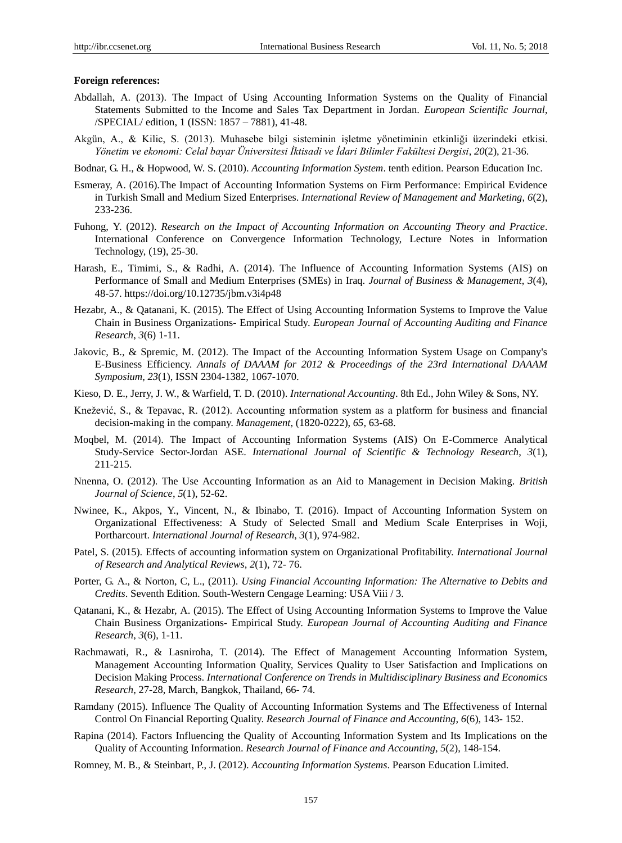#### **Foreign references:**

- Abdallah, A. (2013). The Impact of Using Accounting Information Systems on the Quality of Financial Statements Submitted to the Income and Sales Tax Department in Jordan. *European Scientific Journal*, /SPECIAL/ edition, 1 (ISSN: 1857 – 7881), 41-48.
- Akgün, A., & Kilic, S. (2013). Muhasebe bilgi sisteminin işletme yönetiminin etkinliği üzerindeki etkisi. *Yönetim ve ekonomi: Celal bayar Üniversitesi İktisadi ve İdari Bilimler Fakültesi Dergisi*, *20*(2), 21-36.
- Bodnar, G. H., & Hopwood, W. S. (2010). *Accounting Information System*. tenth edition. Pearson Education Inc.
- Esmeray, A. (2016).The Impact of Accounting Information Systems on Firm Performance: Empirical Evidence in Turkish Small and Medium Sized Enterprises. *International Review of Management and Marketing*, *6*(2), 233-236.
- Fuhong, Y. (2012). *Research on the Impact of Accounting Information on Accounting Theory and Practice*. International Conference on Convergence Information Technology, Lecture Notes in Information Technology, (19), 25-30.
- Harash, E., Timimi, S., & Radhi, A. (2014). The Influence of Accounting Information Systems (AIS) on Performance of Small and Medium Enterprises (SMEs) in Iraq. *Journal of Business & Management*, *3*(4), 48-57. https://doi.org/10.12735/jbm.v3i4p48
- Hezabr, A., & Qatanani, K. (2015). The Effect of Using Accounting Information Systems to Improve the Value Chain in Business Organizations- Empirical Study. *European Journal of Accounting Auditing and Finance Research*, *3*(6) 1-11.
- Jakovic, B., & Spremic, M. (2012). The Impact of the Accounting Information System Usage on Company's E-Business Efficiency. *Annals of DAAAM for 2012 & Proceedings of the 23rd International DAAAM Symposium*, *23*(1), ISSN 2304-1382, 1067-1070.
- Kieso, D. E., Jerry, J. W., & Warfield, T. D. (2010). *International Accounting*. 8th Ed., John Wiley & Sons, NY.
- Knežević, S., & Tepavac, R. (2012). Accounting ınformation system as a platform for business and financial decision-making in the company. *Management*, (1820-0222), *65,* 63-68.
- Moqbel, M. (2014). The Impact of Accounting Information Systems (AIS) On E-Commerce Analytical Study-Service Sector-Jordan ASE. *International Journal of Scientific & Technology Research*, *3*(1), 211-215.
- Nnenna, O. (2012). The Use Accounting Information as an Aid to Management in Decision Making. *British Journal of Science*, *5*(1), 52-62.
- Nwinee, K., Akpos, Y., Vincent, N., & Ibinabo, T. (2016). Impact of Accounting Information System on Organizational Effectiveness: A Study of Selected Small and Medium Scale Enterprises in Woji, Portharcourt. *International Journal of Research*, *3*(1), 974-982.
- Patel, S. (2015). Effects of accounting information system on Organizational Profitability. *International Journal of Research and Analytical Reviews*, *2*(1), 72- 76.
- Porter, G. A., & Norton, C, L., (2011). *Using Financial Accounting Information: The Alternative to Debits and Credits*. Seventh Edition. South-Western Cengage Learning: USA Viii / 3.
- Qatanani, K., & Hezabr, A. (2015). The Effect of Using Accounting Information Systems to Improve the Value Chain Business Organizations- Empirical Study. *European Journal of Accounting Auditing and Finance Research*, *3*(6), 1-11.
- Rachmawati, R., & Lasniroha, T. (2014). The Effect of Management Accounting Information System, Management Accounting Information Quality, Services Quality to User Satisfaction and Implications on Decision Making Process. *International Conference on Trends in Multidisciplinary Business and Economics Research*, 27-28, March, Bangkok, Thailand, 66- 74.
- Ramdany (2015). Influence The Quality of Accounting Information Systems and The Effectiveness of Internal Control On Financial Reporting Quality. *Research Journal of Finance and Accounting*, *6*(6), 143- 152.
- Rapina (2014). Factors Influencing the Quality of Accounting Information System and Its Implications on the Quality of Accounting Information. *Research Journal of Finance and Accounting*, *5*(2), 148-154.
- Romney, M. B., & Steinbart, P., J. (2012). *Accounting Information Systems*. Pearson Education Limited.